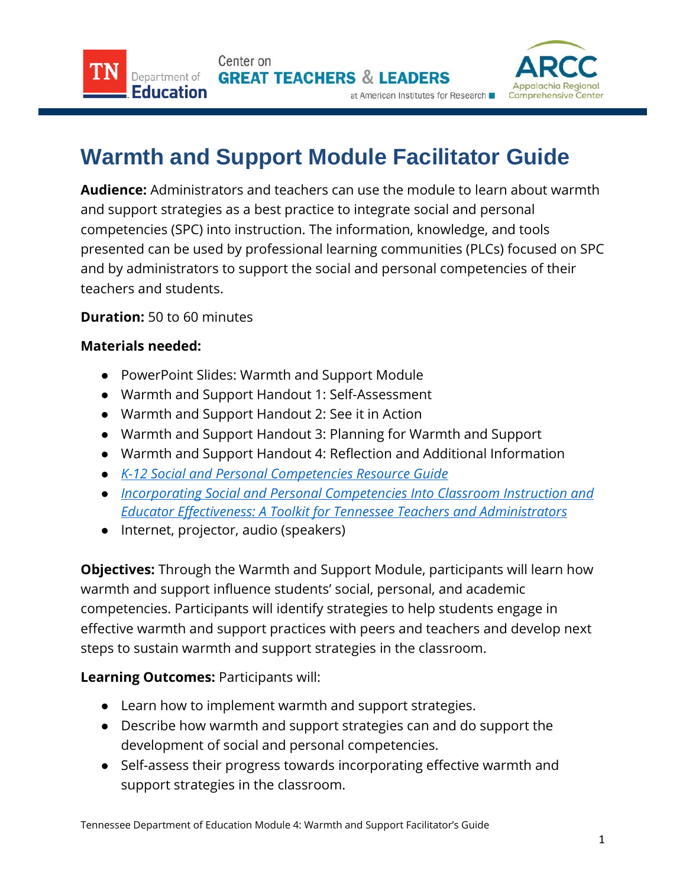Center on **GREAT TEACHERS & LEADERS** at American Institutes for Research



## **Warmth and Support Module Facilitator Guide**

**Audience:** Administrators and teachers can use the module to learn about warmth and support strategies as a best practice to integrate social and personal competencies (SPC) into instruction. The information, knowledge, and tools presented can be used by professional learning communities (PLCs) focused on SPC and by administrators to support the social and personal competencies of their teachers and students.

**Duration:** 50 to 60 minutes

Department of Education

## **Materials needed:**

- PowerPoint Slides: Warmth and Support Module
- Warmth and Support Handout 1: Self-Assessment
- Warmth and Support Handout 2: See it in Action
- Warmth and Support Handout 3: Planning for Warmth and Support
- Warmth and Support Handout 4: Reflection and Additional Information
- *[K-12 Social and Personal Competencies Resource Guide](https://www.tn.gov/content/dam/tn/education/safety/safe_sch/SPC_Resource_Guide.pdf)*
- *[Incorporating](https://www.tn.gov/content/dam/tn/education/safety/safe_sch/safe_sch_se_toolkit.pdf) Social and Personal Competencies Into Classroom Instruction and Educator Effectiveness: A Toolkit for Tennessee Teachers and Administrators*
- Internet, projector, audio (speakers)

**Objectives:** Through the Warmth and Support Module, participants will learn how warmth and support influence students' social, personal, and academic competencies. Participants will identify strategies to help students engage in effective warmth and support practices with peers and teachers and develop next steps to sustain warmth and support strategies in the classroom.

## **Learning Outcomes:** Participants will:

- Learn how to implement warmth and support strategies.
- Describe how warmth and support strategies can and do support the development of social and personal competencies.
- Self-assess their progress towards incorporating effective warmth and support strategies in the classroom.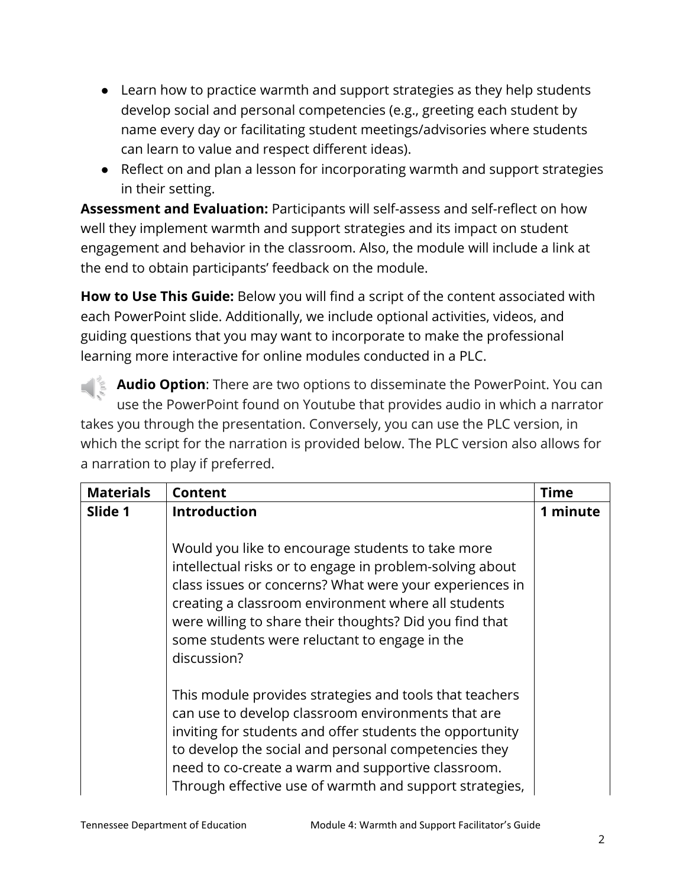- Learn how to practice warmth and support strategies as they help students develop social and personal competencies (e.g., greeting each student by name every day or facilitating student meetings/advisories where students can learn to value and respect different ideas).
- Reflect on and plan a lesson for incorporating warmth and support strategies in their setting.

**Assessment and Evaluation:** Participants will self-assess and self-reflect on how well they implement warmth and support strategies and its impact on student engagement and behavior in the classroom. Also, the module will include a link at the end to obtain participants' feedback on the module.

**How to Use This Guide:** Below you will find a script of the content associated with each PowerPoint slide. Additionally, we include optional activities, videos, and guiding questions that you may want to incorporate to make the professional learning more interactive for online modules conducted in a PLC.

**Audio Option**: There are two options to disseminate the PowerPoint. You can use the PowerPoint found on Youtube that provides audio in which a narrator takes you through the presentation. Conversely, you can use the PLC version, in which the script for the narration is provided below. The PLC version also allows for a narration to play if preferred.

| <b>Materials</b> | Content                                                                                                                                                                                                                                                                                                                                                    | <b>Time</b> |
|------------------|------------------------------------------------------------------------------------------------------------------------------------------------------------------------------------------------------------------------------------------------------------------------------------------------------------------------------------------------------------|-------------|
| Slide 1          | <b>Introduction</b>                                                                                                                                                                                                                                                                                                                                        | 1 minute    |
|                  | Would you like to encourage students to take more<br>intellectual risks or to engage in problem-solving about<br>class issues or concerns? What were your experiences in<br>creating a classroom environment where all students<br>were willing to share their thoughts? Did you find that<br>some students were reluctant to engage in the<br>discussion? |             |
|                  | This module provides strategies and tools that teachers<br>can use to develop classroom environments that are<br>inviting for students and offer students the opportunity<br>to develop the social and personal competencies they<br>need to co-create a warm and supportive classroom.<br>Through effective use of warmth and support strategies,         |             |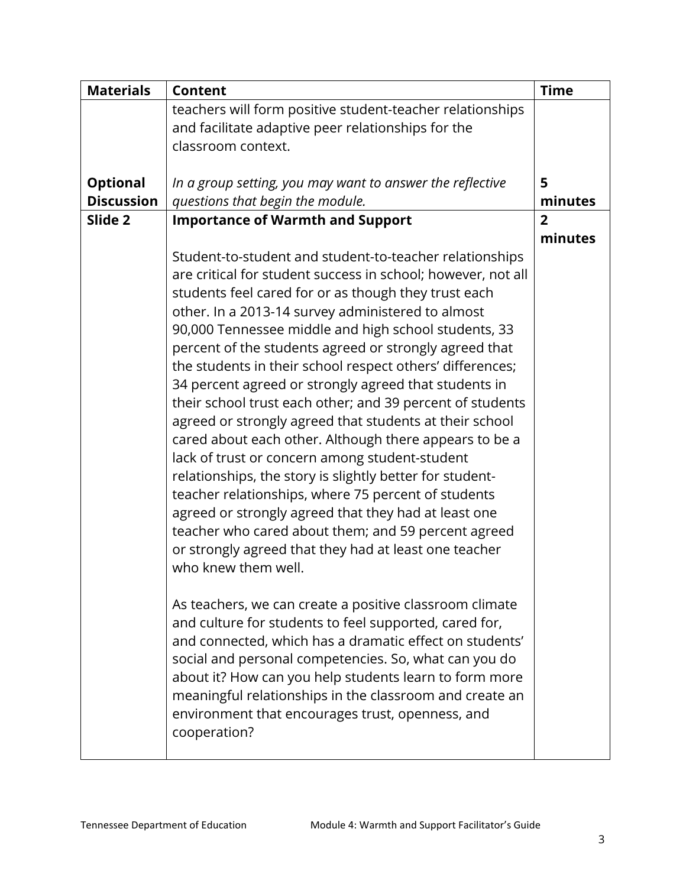| <b>Materials</b>  | <b>Content</b>                                                                                              | <b>Time</b>    |
|-------------------|-------------------------------------------------------------------------------------------------------------|----------------|
|                   | teachers will form positive student-teacher relationships                                                   |                |
|                   | and facilitate adaptive peer relationships for the                                                          |                |
|                   | classroom context.                                                                                          |                |
|                   |                                                                                                             |                |
| <b>Optional</b>   | In a group setting, you may want to answer the reflective                                                   | 5              |
| <b>Discussion</b> | questions that begin the module.                                                                            | minutes        |
| Slide 2           | <b>Importance of Warmth and Support</b>                                                                     | $\overline{2}$ |
|                   |                                                                                                             | minutes        |
|                   | Student-to-student and student-to-teacher relationships                                                     |                |
|                   | are critical for student success in school; however, not all                                                |                |
|                   | students feel cared for or as though they trust each                                                        |                |
|                   | other. In a 2013-14 survey administered to almost                                                           |                |
|                   | 90,000 Tennessee middle and high school students, 33                                                        |                |
|                   | percent of the students agreed or strongly agreed that                                                      |                |
|                   | the students in their school respect others' differences;                                                   |                |
|                   | 34 percent agreed or strongly agreed that students in                                                       |                |
|                   | their school trust each other; and 39 percent of students                                                   |                |
|                   | agreed or strongly agreed that students at their school                                                     |                |
|                   | cared about each other. Although there appears to be a                                                      |                |
|                   | lack of trust or concern among student-student                                                              |                |
|                   | relationships, the story is slightly better for student-                                                    |                |
|                   | teacher relationships, where 75 percent of students                                                         |                |
|                   | agreed or strongly agreed that they had at least one<br>teacher who cared about them; and 59 percent agreed |                |
|                   |                                                                                                             |                |
|                   | or strongly agreed that they had at least one teacher<br>who knew them well.                                |                |
|                   |                                                                                                             |                |
|                   | As teachers, we can create a positive classroom climate                                                     |                |
|                   | and culture for students to feel supported, cared for,                                                      |                |
|                   | and connected, which has a dramatic effect on students'                                                     |                |
|                   | social and personal competencies. So, what can you do                                                       |                |
|                   | about it? How can you help students learn to form more                                                      |                |
|                   | meaningful relationships in the classroom and create an                                                     |                |
|                   | environment that encourages trust, openness, and                                                            |                |
|                   | cooperation?                                                                                                |                |
|                   |                                                                                                             |                |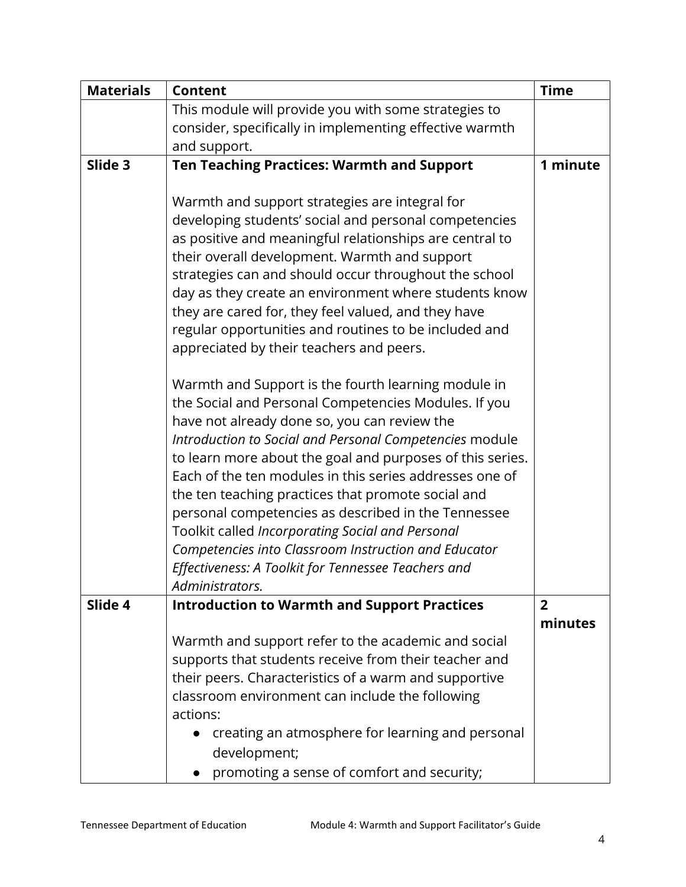| <b>Materials</b> | <b>Content</b>                                                         | <b>Time</b>    |
|------------------|------------------------------------------------------------------------|----------------|
|                  | This module will provide you with some strategies to                   |                |
|                  | consider, specifically in implementing effective warmth                |                |
|                  | and support.                                                           |                |
| Slide 3          | <b>Ten Teaching Practices: Warmth and Support</b>                      | 1 minute       |
|                  |                                                                        |                |
|                  | Warmth and support strategies are integral for                         |                |
|                  | developing students' social and personal competencies                  |                |
|                  | as positive and meaningful relationships are central to                |                |
|                  | their overall development. Warmth and support                          |                |
|                  | strategies can and should occur throughout the school                  |                |
|                  | day as they create an environment where students know                  |                |
|                  | they are cared for, they feel valued, and they have                    |                |
|                  | regular opportunities and routines to be included and                  |                |
|                  | appreciated by their teachers and peers.                               |                |
|                  |                                                                        |                |
|                  | Warmth and Support is the fourth learning module in                    |                |
|                  | the Social and Personal Competencies Modules. If you                   |                |
|                  | have not already done so, you can review the                           |                |
|                  | Introduction to Social and Personal Competencies module                |                |
|                  | to learn more about the goal and purposes of this series.              |                |
|                  | Each of the ten modules in this series addresses one of                |                |
|                  | the ten teaching practices that promote social and                     |                |
|                  | personal competencies as described in the Tennessee                    |                |
|                  | Toolkit called Incorporating Social and Personal                       |                |
|                  | Competencies into Classroom Instruction and Educator                   |                |
|                  | Effectiveness: A Toolkit for Tennessee Teachers and                    |                |
| Slide 4          | Administrators.<br><b>Introduction to Warmth and Support Practices</b> | $\overline{2}$ |
|                  |                                                                        | minutes        |
|                  | Warmth and support refer to the academic and social                    |                |
|                  | supports that students receive from their teacher and                  |                |
|                  | their peers. Characteristics of a warm and supportive                  |                |
|                  | classroom environment can include the following                        |                |
|                  | actions:                                                               |                |
|                  | creating an atmosphere for learning and personal                       |                |
|                  | development;                                                           |                |
|                  | promoting a sense of comfort and security;                             |                |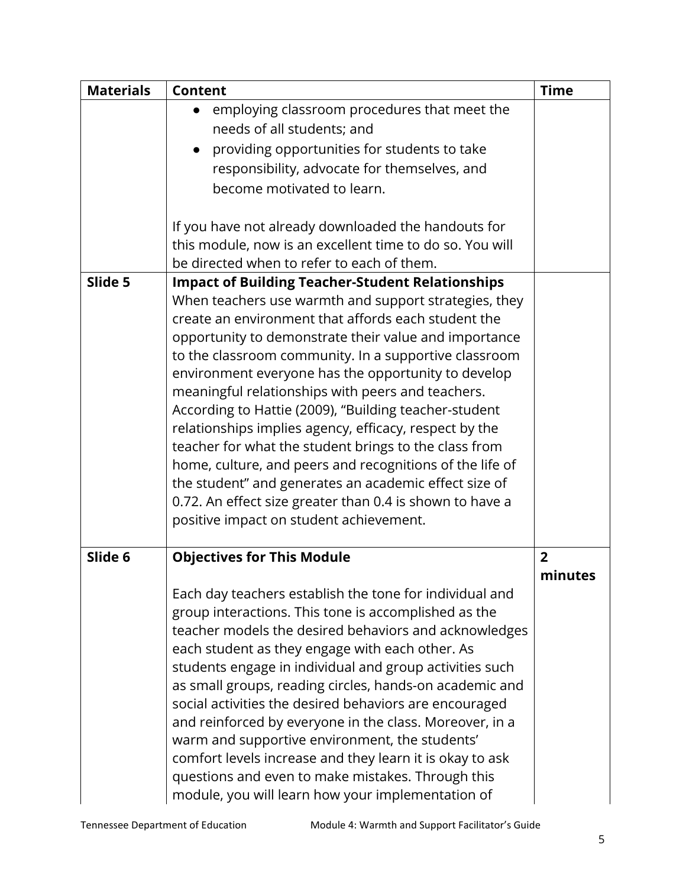| <b>Materials</b> | <b>Content</b>                                            | <b>Time</b>    |
|------------------|-----------------------------------------------------------|----------------|
|                  | employing classroom procedures that meet the<br>$\bullet$ |                |
|                  | needs of all students; and                                |                |
|                  | providing opportunities for students to take<br>$\bullet$ |                |
|                  | responsibility, advocate for themselves, and              |                |
|                  | become motivated to learn.                                |                |
|                  | If you have not already downloaded the handouts for       |                |
|                  | this module, now is an excellent time to do so. You will  |                |
|                  | be directed when to refer to each of them.                |                |
| Slide 5          | <b>Impact of Building Teacher-Student Relationships</b>   |                |
|                  | When teachers use warmth and support strategies, they     |                |
|                  | create an environment that affords each student the       |                |
|                  | opportunity to demonstrate their value and importance     |                |
|                  | to the classroom community. In a supportive classroom     |                |
|                  | environment everyone has the opportunity to develop       |                |
|                  | meaningful relationships with peers and teachers.         |                |
|                  | According to Hattie (2009), "Building teacher-student     |                |
|                  | relationships implies agency, efficacy, respect by the    |                |
|                  | teacher for what the student brings to the class from     |                |
|                  | home, culture, and peers and recognitions of the life of  |                |
|                  | the student" and generates an academic effect size of     |                |
|                  | 0.72. An effect size greater than 0.4 is shown to have a  |                |
|                  | positive impact on student achievement.                   |                |
|                  |                                                           |                |
| Slide 6          | <b>Objectives for This Module</b>                         | $\overline{2}$ |
|                  |                                                           | minutes        |
|                  | Each day teachers establish the tone for individual and   |                |
|                  | group interactions. This tone is accomplished as the      |                |
|                  | teacher models the desired behaviors and acknowledges     |                |
|                  | each student as they engage with each other. As           |                |
|                  | students engage in individual and group activities such   |                |
|                  | as small groups, reading circles, hands-on academic and   |                |
|                  | social activities the desired behaviors are encouraged    |                |
|                  | and reinforced by everyone in the class. Moreover, in a   |                |
|                  | warm and supportive environment, the students'            |                |
|                  | comfort levels increase and they learn it is okay to ask  |                |
|                  | questions and even to make mistakes. Through this         |                |
|                  | module, you will learn how your implementation of         |                |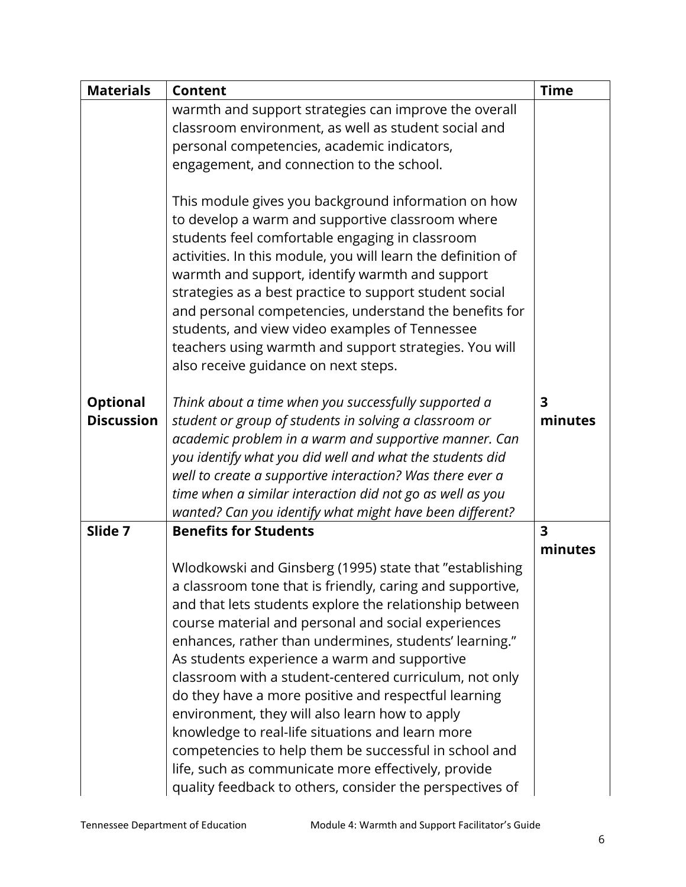| <b>Materials</b>  | <b>Content</b>                                                                                                                                                                                                                                                                                                                                                                                                                                                                                                                                         | <b>Time</b>             |
|-------------------|--------------------------------------------------------------------------------------------------------------------------------------------------------------------------------------------------------------------------------------------------------------------------------------------------------------------------------------------------------------------------------------------------------------------------------------------------------------------------------------------------------------------------------------------------------|-------------------------|
|                   | warmth and support strategies can improve the overall                                                                                                                                                                                                                                                                                                                                                                                                                                                                                                  |                         |
|                   | classroom environment, as well as student social and                                                                                                                                                                                                                                                                                                                                                                                                                                                                                                   |                         |
|                   | personal competencies, academic indicators,                                                                                                                                                                                                                                                                                                                                                                                                                                                                                                            |                         |
|                   | engagement, and connection to the school.                                                                                                                                                                                                                                                                                                                                                                                                                                                                                                              |                         |
|                   | This module gives you background information on how<br>to develop a warm and supportive classroom where<br>students feel comfortable engaging in classroom<br>activities. In this module, you will learn the definition of<br>warmth and support, identify warmth and support<br>strategies as a best practice to support student social<br>and personal competencies, understand the benefits for<br>students, and view video examples of Tennessee<br>teachers using warmth and support strategies. You will<br>also receive guidance on next steps. |                         |
|                   |                                                                                                                                                                                                                                                                                                                                                                                                                                                                                                                                                        |                         |
| <b>Optional</b>   | Think about a time when you successfully supported a                                                                                                                                                                                                                                                                                                                                                                                                                                                                                                   | $\overline{\mathbf{3}}$ |
| <b>Discussion</b> | student or group of students in solving a classroom or                                                                                                                                                                                                                                                                                                                                                                                                                                                                                                 | minutes                 |
|                   | academic problem in a warm and supportive manner. Can                                                                                                                                                                                                                                                                                                                                                                                                                                                                                                  |                         |
|                   | you identify what you did well and what the students did<br>well to create a supportive interaction? Was there ever a                                                                                                                                                                                                                                                                                                                                                                                                                                  |                         |
|                   | time when a similar interaction did not go as well as you                                                                                                                                                                                                                                                                                                                                                                                                                                                                                              |                         |
|                   | wanted? Can you identify what might have been different?                                                                                                                                                                                                                                                                                                                                                                                                                                                                                               |                         |
| Slide 7           | <b>Benefits for Students</b>                                                                                                                                                                                                                                                                                                                                                                                                                                                                                                                           | $\overline{\mathbf{3}}$ |
|                   |                                                                                                                                                                                                                                                                                                                                                                                                                                                                                                                                                        | minutes                 |
|                   | Wlodkowski and Ginsberg (1995) state that "establishing                                                                                                                                                                                                                                                                                                                                                                                                                                                                                                |                         |
|                   | a classroom tone that is friendly, caring and supportive,                                                                                                                                                                                                                                                                                                                                                                                                                                                                                              |                         |
|                   | and that lets students explore the relationship between                                                                                                                                                                                                                                                                                                                                                                                                                                                                                                |                         |
|                   | course material and personal and social experiences                                                                                                                                                                                                                                                                                                                                                                                                                                                                                                    |                         |
|                   | enhances, rather than undermines, students' learning."                                                                                                                                                                                                                                                                                                                                                                                                                                                                                                 |                         |
|                   | As students experience a warm and supportive                                                                                                                                                                                                                                                                                                                                                                                                                                                                                                           |                         |
|                   | classroom with a student-centered curriculum, not only                                                                                                                                                                                                                                                                                                                                                                                                                                                                                                 |                         |
|                   | do they have a more positive and respectful learning                                                                                                                                                                                                                                                                                                                                                                                                                                                                                                   |                         |
|                   | environment, they will also learn how to apply                                                                                                                                                                                                                                                                                                                                                                                                                                                                                                         |                         |
|                   | knowledge to real-life situations and learn more                                                                                                                                                                                                                                                                                                                                                                                                                                                                                                       |                         |
|                   | competencies to help them be successful in school and                                                                                                                                                                                                                                                                                                                                                                                                                                                                                                  |                         |
|                   | life, such as communicate more effectively, provide                                                                                                                                                                                                                                                                                                                                                                                                                                                                                                    |                         |
|                   | quality feedback to others, consider the perspectives of                                                                                                                                                                                                                                                                                                                                                                                                                                                                                               |                         |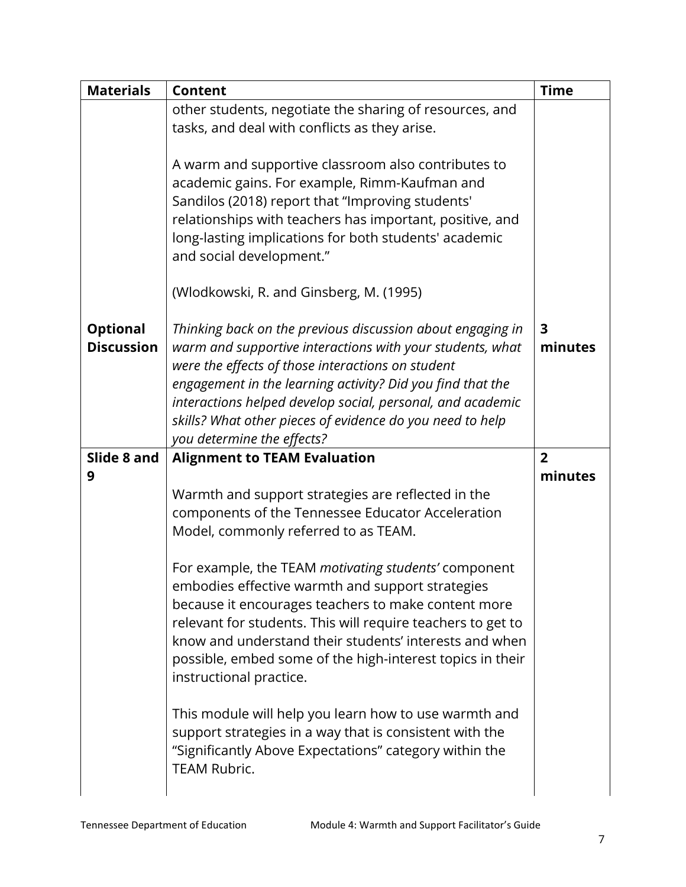| <b>Materials</b>                     | <b>Content</b>                                                                                                                                                                                                                                                                                                                                                                                      | <b>Time</b>                        |
|--------------------------------------|-----------------------------------------------------------------------------------------------------------------------------------------------------------------------------------------------------------------------------------------------------------------------------------------------------------------------------------------------------------------------------------------------------|------------------------------------|
|                                      | other students, negotiate the sharing of resources, and<br>tasks, and deal with conflicts as they arise.                                                                                                                                                                                                                                                                                            |                                    |
|                                      | A warm and supportive classroom also contributes to<br>academic gains. For example, Rimm-Kaufman and<br>Sandilos (2018) report that "Improving students'<br>relationships with teachers has important, positive, and<br>long-lasting implications for both students' academic<br>and social development."                                                                                           |                                    |
|                                      | (Wlodkowski, R. and Ginsberg, M. (1995)                                                                                                                                                                                                                                                                                                                                                             |                                    |
| <b>Optional</b><br><b>Discussion</b> | Thinking back on the previous discussion about engaging in<br>warm and supportive interactions with your students, what<br>were the effects of those interactions on student<br>engagement in the learning activity? Did you find that the<br>interactions helped develop social, personal, and academic<br>skills? What other pieces of evidence do you need to help<br>you determine the effects? | $\overline{\mathbf{3}}$<br>minutes |
| Slide 8 and                          | <b>Alignment to TEAM Evaluation</b>                                                                                                                                                                                                                                                                                                                                                                 | $\overline{2}$                     |
| 9                                    |                                                                                                                                                                                                                                                                                                                                                                                                     | minutes                            |
|                                      | Warmth and support strategies are reflected in the<br>components of the Tennessee Educator Acceleration<br>Model, commonly referred to as TEAM.                                                                                                                                                                                                                                                     |                                    |
|                                      | For example, the TEAM motivating students' component<br>embodies effective warmth and support strategies<br>because it encourages teachers to make content more<br>relevant for students. This will require teachers to get to<br>know and understand their students' interests and when<br>possible, embed some of the high-interest topics in their<br>instructional practice.                    |                                    |
|                                      | This module will help you learn how to use warmth and<br>support strategies in a way that is consistent with the<br>"Significantly Above Expectations" category within the<br>TEAM Rubric.                                                                                                                                                                                                          |                                    |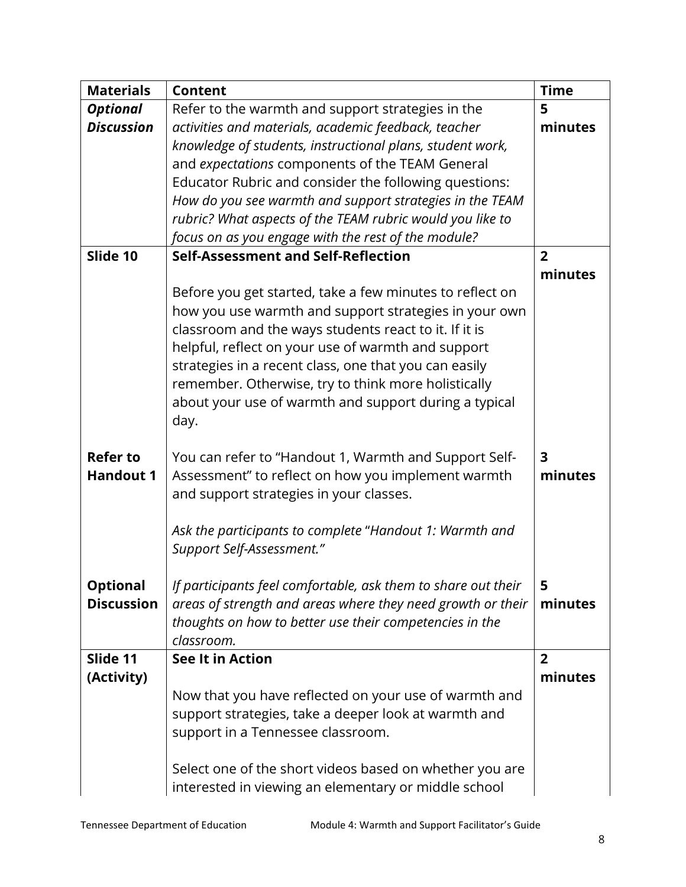| <b>Content</b>                                            | <b>Time</b>                                                                                                                                                                                                                                                                                                                                                                                                                                                                                                                                                                                                                                                                                                                                                                                                                                                                                                                                                                                                                                                                                                                                                                                                                                                                                          |
|-----------------------------------------------------------|------------------------------------------------------------------------------------------------------------------------------------------------------------------------------------------------------------------------------------------------------------------------------------------------------------------------------------------------------------------------------------------------------------------------------------------------------------------------------------------------------------------------------------------------------------------------------------------------------------------------------------------------------------------------------------------------------------------------------------------------------------------------------------------------------------------------------------------------------------------------------------------------------------------------------------------------------------------------------------------------------------------------------------------------------------------------------------------------------------------------------------------------------------------------------------------------------------------------------------------------------------------------------------------------------|
| Refer to the warmth and support strategies in the         | 5                                                                                                                                                                                                                                                                                                                                                                                                                                                                                                                                                                                                                                                                                                                                                                                                                                                                                                                                                                                                                                                                                                                                                                                                                                                                                                    |
| activities and materials, academic feedback, teacher      | minutes                                                                                                                                                                                                                                                                                                                                                                                                                                                                                                                                                                                                                                                                                                                                                                                                                                                                                                                                                                                                                                                                                                                                                                                                                                                                                              |
| knowledge of students, instructional plans, student work, |                                                                                                                                                                                                                                                                                                                                                                                                                                                                                                                                                                                                                                                                                                                                                                                                                                                                                                                                                                                                                                                                                                                                                                                                                                                                                                      |
| and expectations components of the TEAM General           |                                                                                                                                                                                                                                                                                                                                                                                                                                                                                                                                                                                                                                                                                                                                                                                                                                                                                                                                                                                                                                                                                                                                                                                                                                                                                                      |
| Educator Rubric and consider the following questions:     |                                                                                                                                                                                                                                                                                                                                                                                                                                                                                                                                                                                                                                                                                                                                                                                                                                                                                                                                                                                                                                                                                                                                                                                                                                                                                                      |
| How do you see warmth and support strategies in the TEAM  |                                                                                                                                                                                                                                                                                                                                                                                                                                                                                                                                                                                                                                                                                                                                                                                                                                                                                                                                                                                                                                                                                                                                                                                                                                                                                                      |
|                                                           |                                                                                                                                                                                                                                                                                                                                                                                                                                                                                                                                                                                                                                                                                                                                                                                                                                                                                                                                                                                                                                                                                                                                                                                                                                                                                                      |
|                                                           |                                                                                                                                                                                                                                                                                                                                                                                                                                                                                                                                                                                                                                                                                                                                                                                                                                                                                                                                                                                                                                                                                                                                                                                                                                                                                                      |
| Self-Assessment and Self-Reflection                       | $\overline{2}$                                                                                                                                                                                                                                                                                                                                                                                                                                                                                                                                                                                                                                                                                                                                                                                                                                                                                                                                                                                                                                                                                                                                                                                                                                                                                       |
|                                                           | minutes                                                                                                                                                                                                                                                                                                                                                                                                                                                                                                                                                                                                                                                                                                                                                                                                                                                                                                                                                                                                                                                                                                                                                                                                                                                                                              |
|                                                           |                                                                                                                                                                                                                                                                                                                                                                                                                                                                                                                                                                                                                                                                                                                                                                                                                                                                                                                                                                                                                                                                                                                                                                                                                                                                                                      |
|                                                           |                                                                                                                                                                                                                                                                                                                                                                                                                                                                                                                                                                                                                                                                                                                                                                                                                                                                                                                                                                                                                                                                                                                                                                                                                                                                                                      |
|                                                           |                                                                                                                                                                                                                                                                                                                                                                                                                                                                                                                                                                                                                                                                                                                                                                                                                                                                                                                                                                                                                                                                                                                                                                                                                                                                                                      |
|                                                           |                                                                                                                                                                                                                                                                                                                                                                                                                                                                                                                                                                                                                                                                                                                                                                                                                                                                                                                                                                                                                                                                                                                                                                                                                                                                                                      |
|                                                           |                                                                                                                                                                                                                                                                                                                                                                                                                                                                                                                                                                                                                                                                                                                                                                                                                                                                                                                                                                                                                                                                                                                                                                                                                                                                                                      |
|                                                           |                                                                                                                                                                                                                                                                                                                                                                                                                                                                                                                                                                                                                                                                                                                                                                                                                                                                                                                                                                                                                                                                                                                                                                                                                                                                                                      |
|                                                           |                                                                                                                                                                                                                                                                                                                                                                                                                                                                                                                                                                                                                                                                                                                                                                                                                                                                                                                                                                                                                                                                                                                                                                                                                                                                                                      |
|                                                           |                                                                                                                                                                                                                                                                                                                                                                                                                                                                                                                                                                                                                                                                                                                                                                                                                                                                                                                                                                                                                                                                                                                                                                                                                                                                                                      |
|                                                           |                                                                                                                                                                                                                                                                                                                                                                                                                                                                                                                                                                                                                                                                                                                                                                                                                                                                                                                                                                                                                                                                                                                                                                                                                                                                                                      |
|                                                           | 3                                                                                                                                                                                                                                                                                                                                                                                                                                                                                                                                                                                                                                                                                                                                                                                                                                                                                                                                                                                                                                                                                                                                                                                                                                                                                                    |
|                                                           | minutes                                                                                                                                                                                                                                                                                                                                                                                                                                                                                                                                                                                                                                                                                                                                                                                                                                                                                                                                                                                                                                                                                                                                                                                                                                                                                              |
|                                                           |                                                                                                                                                                                                                                                                                                                                                                                                                                                                                                                                                                                                                                                                                                                                                                                                                                                                                                                                                                                                                                                                                                                                                                                                                                                                                                      |
|                                                           |                                                                                                                                                                                                                                                                                                                                                                                                                                                                                                                                                                                                                                                                                                                                                                                                                                                                                                                                                                                                                                                                                                                                                                                                                                                                                                      |
|                                                           |                                                                                                                                                                                                                                                                                                                                                                                                                                                                                                                                                                                                                                                                                                                                                                                                                                                                                                                                                                                                                                                                                                                                                                                                                                                                                                      |
|                                                           |                                                                                                                                                                                                                                                                                                                                                                                                                                                                                                                                                                                                                                                                                                                                                                                                                                                                                                                                                                                                                                                                                                                                                                                                                                                                                                      |
|                                                           |                                                                                                                                                                                                                                                                                                                                                                                                                                                                                                                                                                                                                                                                                                                                                                                                                                                                                                                                                                                                                                                                                                                                                                                                                                                                                                      |
|                                                           | 5                                                                                                                                                                                                                                                                                                                                                                                                                                                                                                                                                                                                                                                                                                                                                                                                                                                                                                                                                                                                                                                                                                                                                                                                                                                                                                    |
|                                                           | minutes                                                                                                                                                                                                                                                                                                                                                                                                                                                                                                                                                                                                                                                                                                                                                                                                                                                                                                                                                                                                                                                                                                                                                                                                                                                                                              |
|                                                           |                                                                                                                                                                                                                                                                                                                                                                                                                                                                                                                                                                                                                                                                                                                                                                                                                                                                                                                                                                                                                                                                                                                                                                                                                                                                                                      |
|                                                           |                                                                                                                                                                                                                                                                                                                                                                                                                                                                                                                                                                                                                                                                                                                                                                                                                                                                                                                                                                                                                                                                                                                                                                                                                                                                                                      |
|                                                           | $\overline{2}$                                                                                                                                                                                                                                                                                                                                                                                                                                                                                                                                                                                                                                                                                                                                                                                                                                                                                                                                                                                                                                                                                                                                                                                                                                                                                       |
|                                                           | minutes                                                                                                                                                                                                                                                                                                                                                                                                                                                                                                                                                                                                                                                                                                                                                                                                                                                                                                                                                                                                                                                                                                                                                                                                                                                                                              |
|                                                           |                                                                                                                                                                                                                                                                                                                                                                                                                                                                                                                                                                                                                                                                                                                                                                                                                                                                                                                                                                                                                                                                                                                                                                                                                                                                                                      |
|                                                           |                                                                                                                                                                                                                                                                                                                                                                                                                                                                                                                                                                                                                                                                                                                                                                                                                                                                                                                                                                                                                                                                                                                                                                                                                                                                                                      |
|                                                           |                                                                                                                                                                                                                                                                                                                                                                                                                                                                                                                                                                                                                                                                                                                                                                                                                                                                                                                                                                                                                                                                                                                                                                                                                                                                                                      |
|                                                           |                                                                                                                                                                                                                                                                                                                                                                                                                                                                                                                                                                                                                                                                                                                                                                                                                                                                                                                                                                                                                                                                                                                                                                                                                                                                                                      |
|                                                           |                                                                                                                                                                                                                                                                                                                                                                                                                                                                                                                                                                                                                                                                                                                                                                                                                                                                                                                                                                                                                                                                                                                                                                                                                                                                                                      |
|                                                           |                                                                                                                                                                                                                                                                                                                                                                                                                                                                                                                                                                                                                                                                                                                                                                                                                                                                                                                                                                                                                                                                                                                                                                                                                                                                                                      |
|                                                           | rubric? What aspects of the TEAM rubric would you like to<br>focus on as you engage with the rest of the module?<br>Before you get started, take a few minutes to reflect on<br>how you use warmth and support strategies in your own<br>classroom and the ways students react to it. If it is<br>helpful, reflect on your use of warmth and support<br>strategies in a recent class, one that you can easily<br>remember. Otherwise, try to think more holistically<br>about your use of warmth and support during a typical<br>day.<br>You can refer to "Handout 1, Warmth and Support Self-<br>Assessment" to reflect on how you implement warmth<br>and support strategies in your classes.<br>Ask the participants to complete "Handout 1: Warmth and<br>Support Self-Assessment."<br>If participants feel comfortable, ask them to share out their<br>areas of strength and areas where they need growth or their<br>thoughts on how to better use their competencies in the<br>classroom.<br><b>See It in Action</b><br>Now that you have reflected on your use of warmth and<br>support strategies, take a deeper look at warmth and<br>support in a Tennessee classroom.<br>Select one of the short videos based on whether you are<br>interested in viewing an elementary or middle school |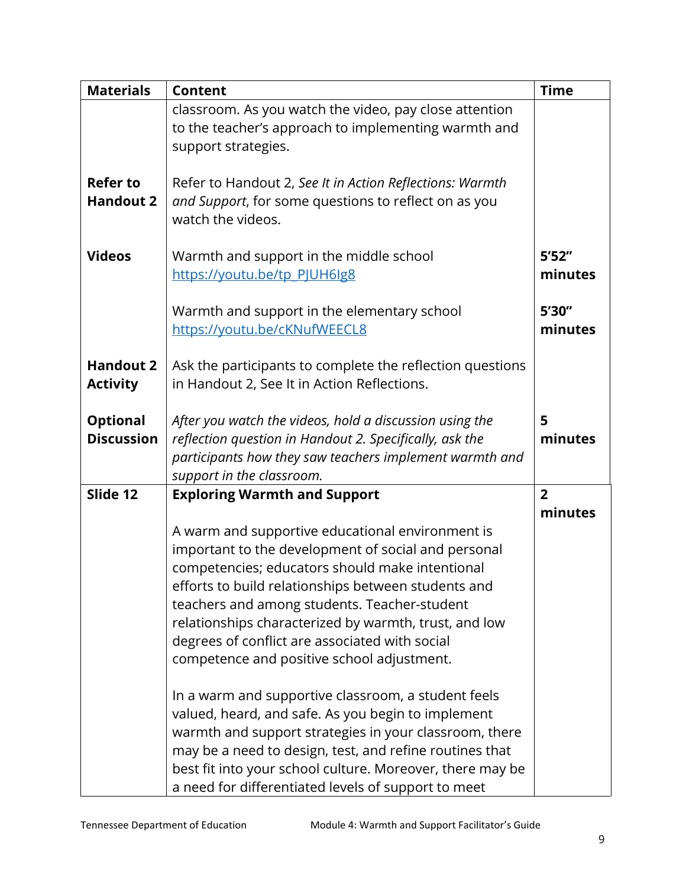| <b>Materials</b>                     | <b>Content</b>                                                                                                                                                                                                                                                                                                                                                                                                             | <b>Time</b>       |
|--------------------------------------|----------------------------------------------------------------------------------------------------------------------------------------------------------------------------------------------------------------------------------------------------------------------------------------------------------------------------------------------------------------------------------------------------------------------------|-------------------|
|                                      | classroom. As you watch the video, pay close attention<br>to the teacher's approach to implementing warmth and<br>support strategies.                                                                                                                                                                                                                                                                                      |                   |
| <b>Refer to</b><br><b>Handout 2</b>  | Refer to Handout 2, See It in Action Reflections: Warmth<br>and Support, for some questions to reflect on as you<br>watch the videos.                                                                                                                                                                                                                                                                                      |                   |
| <b>Videos</b>                        | Warmth and support in the middle school<br>https://youtu.be/tp_PJUH6lg8                                                                                                                                                                                                                                                                                                                                                    | 5'52''<br>minutes |
|                                      | Warmth and support in the elementary school<br>https://youtu.be/cKNufWEECL8                                                                                                                                                                                                                                                                                                                                                | 5'30"<br>minutes  |
| <b>Handout 2</b><br><b>Activity</b>  | Ask the participants to complete the reflection questions<br>in Handout 2, See It in Action Reflections.                                                                                                                                                                                                                                                                                                                   |                   |
| <b>Optional</b><br><b>Discussion</b> | After you watch the videos, hold a discussion using the<br>reflection question in Handout 2. Specifically, ask the<br>participants how they saw teachers implement warmth and<br>support in the classroom.                                                                                                                                                                                                                 | 5<br>minutes      |
| Slide 12                             | <b>Exploring Warmth and Support</b>                                                                                                                                                                                                                                                                                                                                                                                        | $\overline{2}$    |
|                                      | A warm and supportive educational environment is<br>important to the development of social and personal<br>competencies; educators should make intentional<br>efforts to build relationships between students and<br>teachers and among students. Teacher-student<br>relationships characterized by warmth, trust, and low<br>degrees of conflict are associated with social<br>competence and positive school adjustment. | minutes           |
|                                      | In a warm and supportive classroom, a student feels<br>valued, heard, and safe. As you begin to implement<br>warmth and support strategies in your classroom, there<br>may be a need to design, test, and refine routines that<br>best fit into your school culture. Moreover, there may be<br>a need for differentiated levels of support to meet                                                                         |                   |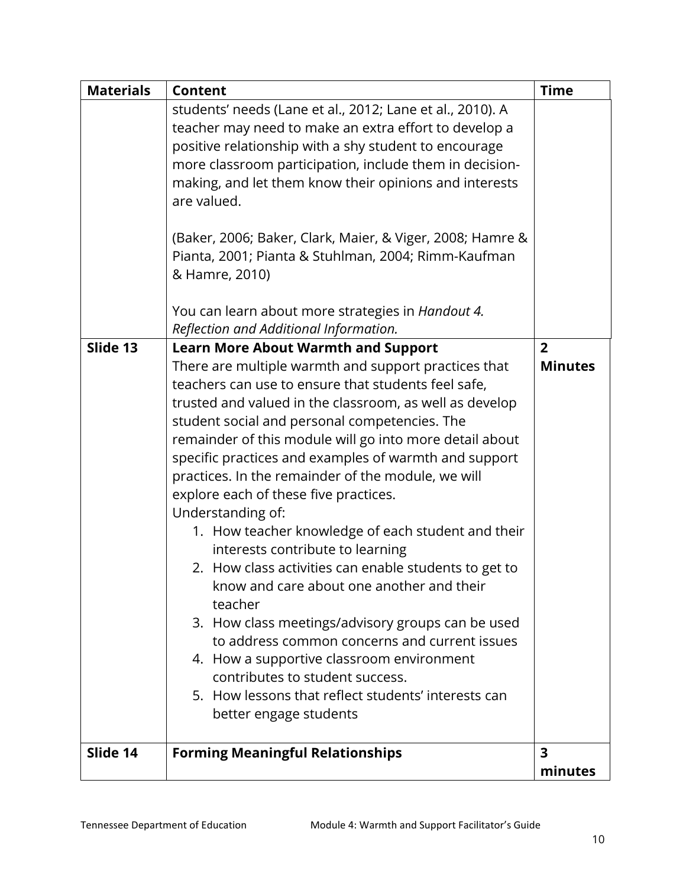| <b>Materials</b> | <b>Content</b>                                                                                                     | <b>Time</b>             |
|------------------|--------------------------------------------------------------------------------------------------------------------|-------------------------|
|                  | students' needs (Lane et al., 2012; Lane et al., 2010). A<br>teacher may need to make an extra effort to develop a |                         |
|                  | positive relationship with a shy student to encourage                                                              |                         |
|                  | more classroom participation, include them in decision-                                                            |                         |
|                  | making, and let them know their opinions and interests                                                             |                         |
|                  | are valued.                                                                                                        |                         |
|                  |                                                                                                                    |                         |
|                  | (Baker, 2006; Baker, Clark, Maier, & Viger, 2008; Hamre &                                                          |                         |
|                  | Pianta, 2001; Pianta & Stuhlman, 2004; Rimm-Kaufman                                                                |                         |
|                  | & Hamre, 2010)                                                                                                     |                         |
|                  | You can learn about more strategies in Handout 4.                                                                  |                         |
|                  | Reflection and Additional Information.                                                                             |                         |
| Slide 13         | <b>Learn More About Warmth and Support</b>                                                                         | $\overline{2}$          |
|                  | There are multiple warmth and support practices that                                                               | <b>Minutes</b>          |
|                  | teachers can use to ensure that students feel safe,                                                                |                         |
|                  | trusted and valued in the classroom, as well as develop                                                            |                         |
|                  | student social and personal competencies. The                                                                      |                         |
|                  | remainder of this module will go into more detail about                                                            |                         |
|                  | specific practices and examples of warmth and support                                                              |                         |
|                  | practices. In the remainder of the module, we will                                                                 |                         |
|                  | explore each of these five practices.                                                                              |                         |
|                  | Understanding of:                                                                                                  |                         |
|                  | 1. How teacher knowledge of each student and their                                                                 |                         |
|                  | interests contribute to learning                                                                                   |                         |
|                  | 2. How class activities can enable students to get to                                                              |                         |
|                  | know and care about one another and their                                                                          |                         |
|                  | teacher                                                                                                            |                         |
|                  | 3. How class meetings/advisory groups can be used                                                                  |                         |
|                  | to address common concerns and current issues                                                                      |                         |
|                  | 4. How a supportive classroom environment                                                                          |                         |
|                  | contributes to student success.                                                                                    |                         |
|                  | 5. How lessons that reflect students' interests can                                                                |                         |
|                  | better engage students                                                                                             |                         |
| Slide 14         | <b>Forming Meaningful Relationships</b>                                                                            | $\overline{\mathbf{3}}$ |
|                  |                                                                                                                    | minutes                 |
|                  |                                                                                                                    |                         |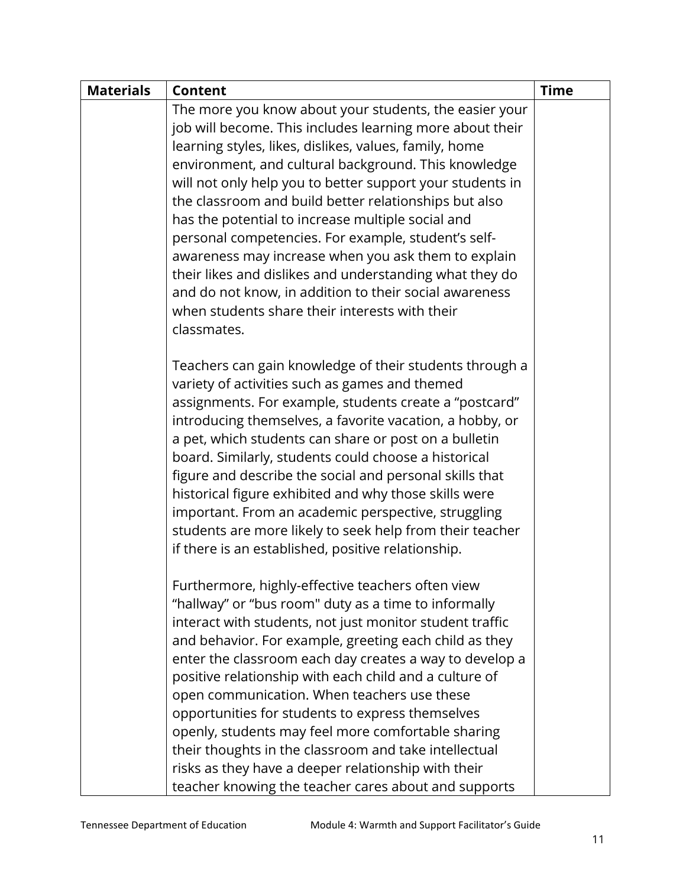| <b>Materials</b> | <b>Content</b>                                                                                                                                                                                                                                                                                                                                                                                                                                                                                                                                                                                                                                                                                                      | <b>Time</b> |
|------------------|---------------------------------------------------------------------------------------------------------------------------------------------------------------------------------------------------------------------------------------------------------------------------------------------------------------------------------------------------------------------------------------------------------------------------------------------------------------------------------------------------------------------------------------------------------------------------------------------------------------------------------------------------------------------------------------------------------------------|-------------|
|                  | The more you know about your students, the easier your<br>job will become. This includes learning more about their<br>learning styles, likes, dislikes, values, family, home<br>environment, and cultural background. This knowledge<br>will not only help you to better support your students in<br>the classroom and build better relationships but also<br>has the potential to increase multiple social and<br>personal competencies. For example, student's self-<br>awareness may increase when you ask them to explain<br>their likes and dislikes and understanding what they do<br>and do not know, in addition to their social awareness<br>when students share their interests with their<br>classmates. |             |
|                  | Teachers can gain knowledge of their students through a<br>variety of activities such as games and themed<br>assignments. For example, students create a "postcard"<br>introducing themselves, a favorite vacation, a hobby, or<br>a pet, which students can share or post on a bulletin<br>board. Similarly, students could choose a historical<br>figure and describe the social and personal skills that<br>historical figure exhibited and why those skills were<br>important. From an academic perspective, struggling<br>students are more likely to seek help from their teacher<br>if there is an established, positive relationship.                                                                       |             |
|                  | Furthermore, highly-effective teachers often view<br>"hallway" or "bus room" duty as a time to informally<br>interact with students, not just monitor student traffic<br>and behavior. For example, greeting each child as they<br>enter the classroom each day creates a way to develop a<br>positive relationship with each child and a culture of<br>open communication. When teachers use these<br>opportunities for students to express themselves<br>openly, students may feel more comfortable sharing<br>their thoughts in the classroom and take intellectual<br>risks as they have a deeper relationship with their<br>teacher knowing the teacher cares about and supports                               |             |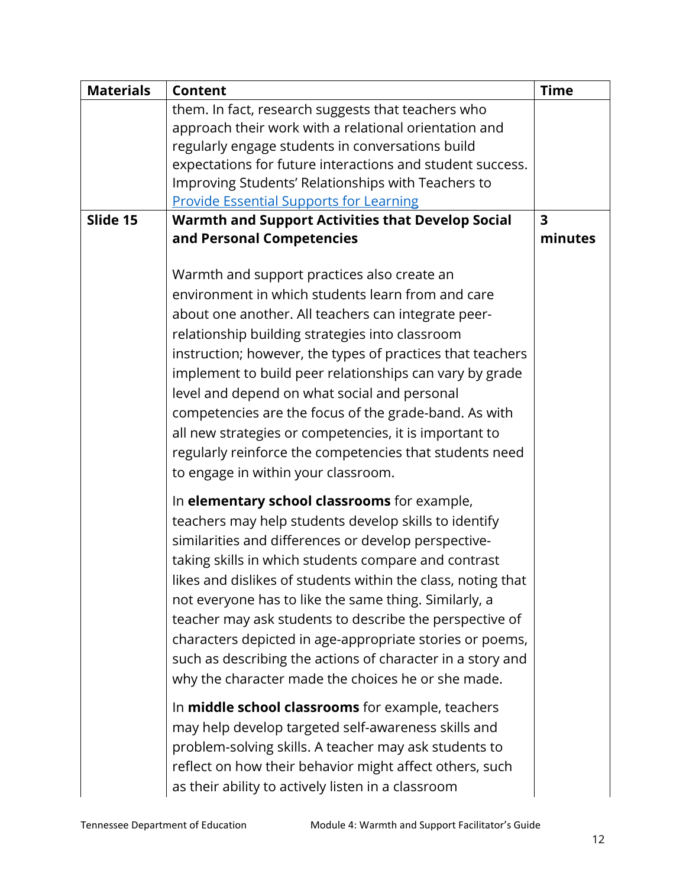| <b>Materials</b> | <b>Content</b>                                               | <b>Time</b>             |
|------------------|--------------------------------------------------------------|-------------------------|
|                  | them. In fact, research suggests that teachers who           |                         |
|                  | approach their work with a relational orientation and        |                         |
|                  | regularly engage students in conversations build             |                         |
|                  | expectations for future interactions and student success.    |                         |
|                  | Improving Students' Relationships with Teachers to           |                         |
|                  | <b>Provide Essential Supports for Learning</b>               |                         |
| Slide 15         | <b>Warmth and Support Activities that Develop Social</b>     | $\overline{\mathbf{3}}$ |
|                  | and Personal Competencies                                    | minutes                 |
|                  |                                                              |                         |
|                  | Warmth and support practices also create an                  |                         |
|                  | environment in which students learn from and care            |                         |
|                  | about one another. All teachers can integrate peer-          |                         |
|                  | relationship building strategies into classroom              |                         |
|                  | instruction; however, the types of practices that teachers   |                         |
|                  | implement to build peer relationships can vary by grade      |                         |
|                  | level and depend on what social and personal                 |                         |
|                  | competencies are the focus of the grade-band. As with        |                         |
|                  | all new strategies or competencies, it is important to       |                         |
|                  |                                                              |                         |
|                  | regularly reinforce the competencies that students need      |                         |
|                  | to engage in within your classroom.                          |                         |
|                  | In elementary school classrooms for example,                 |                         |
|                  | teachers may help students develop skills to identify        |                         |
|                  | similarities and differences or develop perspective-         |                         |
|                  | taking skills in which students compare and contrast         |                         |
|                  | likes and dislikes of students within the class, noting that |                         |
|                  | not everyone has to like the same thing. Similarly, a        |                         |
|                  | teacher may ask students to describe the perspective of      |                         |
|                  | characters depicted in age-appropriate stories or poems,     |                         |
|                  | such as describing the actions of character in a story and   |                         |
|                  |                                                              |                         |
|                  | why the character made the choices he or she made.           |                         |
|                  | In middle school classrooms for example, teachers            |                         |
|                  | may help develop targeted self-awareness skills and          |                         |
|                  | problem-solving skills. A teacher may ask students to        |                         |
|                  | reflect on how their behavior might affect others, such      |                         |
|                  | as their ability to actively listen in a classroom           |                         |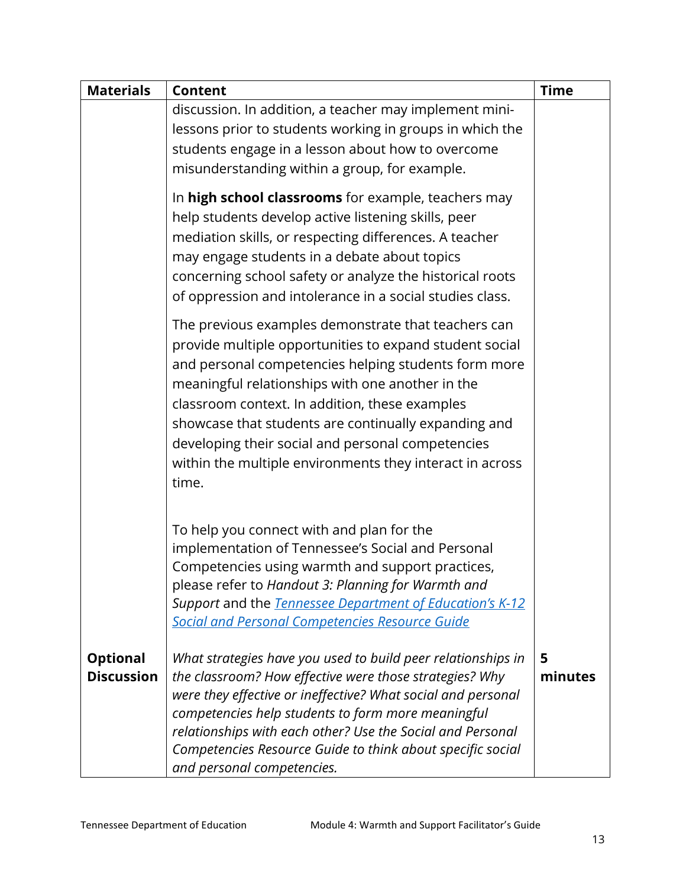| <b>Materials</b>                     | <b>Content</b>                                                                                                                                                                                                                                                                                                                                                                                                                                                 | <b>Time</b>  |
|--------------------------------------|----------------------------------------------------------------------------------------------------------------------------------------------------------------------------------------------------------------------------------------------------------------------------------------------------------------------------------------------------------------------------------------------------------------------------------------------------------------|--------------|
|                                      | discussion. In addition, a teacher may implement mini-<br>lessons prior to students working in groups in which the<br>students engage in a lesson about how to overcome<br>misunderstanding within a group, for example.                                                                                                                                                                                                                                       |              |
|                                      | In high school classrooms for example, teachers may<br>help students develop active listening skills, peer<br>mediation skills, or respecting differences. A teacher<br>may engage students in a debate about topics<br>concerning school safety or analyze the historical roots<br>of oppression and intolerance in a social studies class.                                                                                                                   |              |
|                                      | The previous examples demonstrate that teachers can<br>provide multiple opportunities to expand student social<br>and personal competencies helping students form more<br>meaningful relationships with one another in the<br>classroom context. In addition, these examples<br>showcase that students are continually expanding and<br>developing their social and personal competencies<br>within the multiple environments they interact in across<br>time. |              |
|                                      | To help you connect with and plan for the<br>implementation of Tennessee's Social and Personal<br>Competencies using warmth and support practices,<br>please refer to Handout 3: Planning for Warmth and<br>Support and the Tennessee Department of Education's K-12<br><b>Social and Personal Competencies Resource Guide</b>                                                                                                                                 |              |
| <b>Optional</b><br><b>Discussion</b> | What strategies have you used to build peer relationships in<br>the classroom? How effective were those strategies? Why<br>were they effective or ineffective? What social and personal<br>competencies help students to form more meaningful<br>relationships with each other? Use the Social and Personal<br>Competencies Resource Guide to think about specific social<br>and personal competencies.                                                        | 5<br>minutes |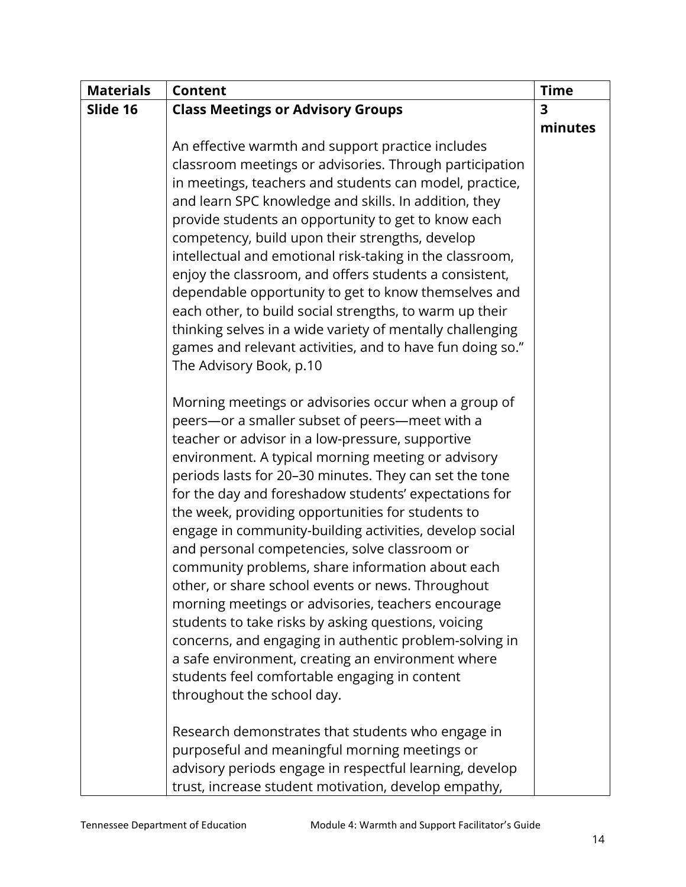| <b>Materials</b> | <b>Content</b>                                            | <b>Time</b>             |
|------------------|-----------------------------------------------------------|-------------------------|
| Slide 16         | <b>Class Meetings or Advisory Groups</b>                  | $\overline{\mathbf{3}}$ |
|                  |                                                           | minutes                 |
|                  | An effective warmth and support practice includes         |                         |
|                  | classroom meetings or advisories. Through participation   |                         |
|                  | in meetings, teachers and students can model, practice,   |                         |
|                  | and learn SPC knowledge and skills. In addition, they     |                         |
|                  | provide students an opportunity to get to know each       |                         |
|                  | competency, build upon their strengths, develop           |                         |
|                  | intellectual and emotional risk-taking in the classroom,  |                         |
|                  | enjoy the classroom, and offers students a consistent,    |                         |
|                  | dependable opportunity to get to know themselves and      |                         |
|                  | each other, to build social strengths, to warm up their   |                         |
|                  | thinking selves in a wide variety of mentally challenging |                         |
|                  | games and relevant activities, and to have fun doing so." |                         |
|                  | The Advisory Book, p.10                                   |                         |
|                  |                                                           |                         |
|                  | Morning meetings or advisories occur when a group of      |                         |
|                  | peers-or a smaller subset of peers-meet with a            |                         |
|                  | teacher or advisor in a low-pressure, supportive          |                         |
|                  | environment. A typical morning meeting or advisory        |                         |
|                  | periods lasts for 20-30 minutes. They can set the tone    |                         |
|                  | for the day and foreshadow students' expectations for     |                         |
|                  | the week, providing opportunities for students to         |                         |
|                  | engage in community-building activities, develop social   |                         |
|                  | and personal competencies, solve classroom or             |                         |
|                  | community problems, share information about each          |                         |
|                  | other, or share school events or news. Throughout         |                         |
|                  | morning meetings or advisories, teachers encourage        |                         |
|                  | students to take risks by asking questions, voicing       |                         |
|                  | concerns, and engaging in authentic problem-solving in    |                         |
|                  | a safe environment, creating an environment where         |                         |
|                  | students feel comfortable engaging in content             |                         |
|                  | throughout the school day.                                |                         |
|                  | Research demonstrates that students who engage in         |                         |
|                  | purposeful and meaningful morning meetings or             |                         |
|                  | advisory periods engage in respectful learning, develop   |                         |
|                  | trust, increase student motivation, develop empathy,      |                         |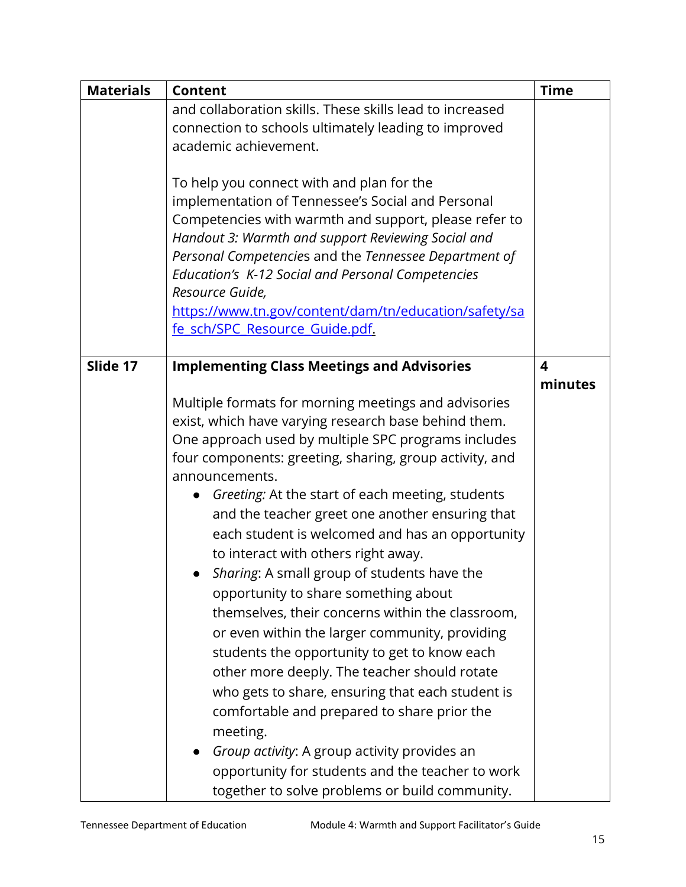| <b>Materials</b> | <b>Content</b>                                                                                                                                                                                                                                                                                                                                                                                                                                                                                                                                                                                                                                                                                                                                                                                                                                                                                                                                                                                                      | <b>Time</b> |
|------------------|---------------------------------------------------------------------------------------------------------------------------------------------------------------------------------------------------------------------------------------------------------------------------------------------------------------------------------------------------------------------------------------------------------------------------------------------------------------------------------------------------------------------------------------------------------------------------------------------------------------------------------------------------------------------------------------------------------------------------------------------------------------------------------------------------------------------------------------------------------------------------------------------------------------------------------------------------------------------------------------------------------------------|-------------|
|                  | and collaboration skills. These skills lead to increased<br>connection to schools ultimately leading to improved<br>academic achievement.                                                                                                                                                                                                                                                                                                                                                                                                                                                                                                                                                                                                                                                                                                                                                                                                                                                                           |             |
|                  | To help you connect with and plan for the<br>implementation of Tennessee's Social and Personal<br>Competencies with warmth and support, please refer to<br>Handout 3: Warmth and support Reviewing Social and<br>Personal Competencies and the Tennessee Department of<br>Education's K-12 Social and Personal Competencies<br>Resource Guide,<br>https://www.tn.gov/content/dam/tn/education/safety/sa<br>fe sch/SPC Resource Guide.pdf.                                                                                                                                                                                                                                                                                                                                                                                                                                                                                                                                                                           |             |
| Slide 17         | <b>Implementing Class Meetings and Advisories</b>                                                                                                                                                                                                                                                                                                                                                                                                                                                                                                                                                                                                                                                                                                                                                                                                                                                                                                                                                                   | 4           |
|                  | Multiple formats for morning meetings and advisories<br>exist, which have varying research base behind them.<br>One approach used by multiple SPC programs includes<br>four components: greeting, sharing, group activity, and<br>announcements.<br>Greeting: At the start of each meeting, students<br>and the teacher greet one another ensuring that<br>each student is welcomed and has an opportunity<br>to interact with others right away.<br>Sharing: A small group of students have the<br>opportunity to share something about<br>themselves, their concerns within the classroom,<br>or even within the larger community, providing<br>students the opportunity to get to know each<br>other more deeply. The teacher should rotate<br>who gets to share, ensuring that each student is<br>comfortable and prepared to share prior the<br>meeting.<br>Group activity: A group activity provides an<br>opportunity for students and the teacher to work<br>together to solve problems or build community. | minutes     |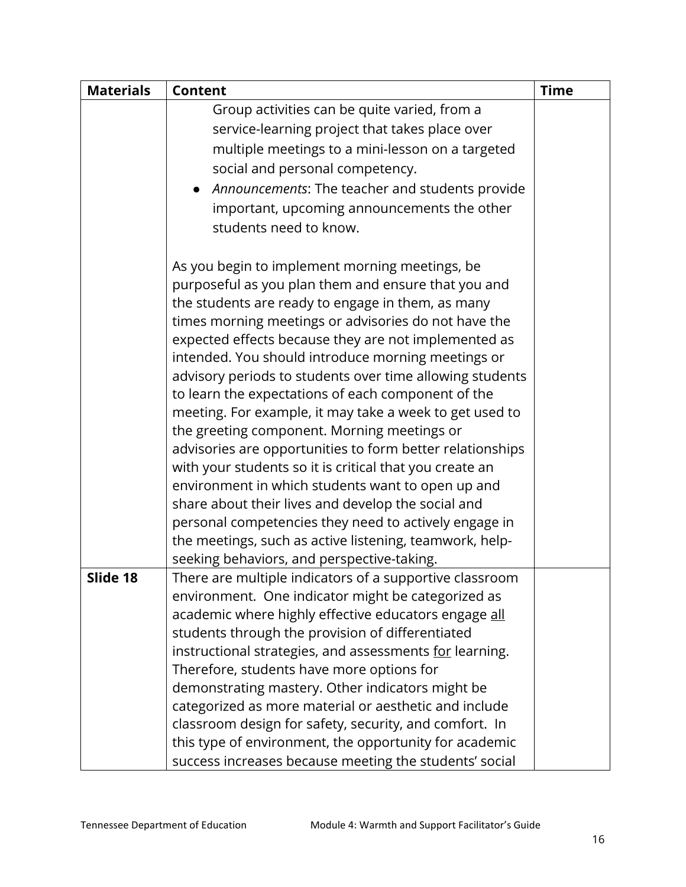| <b>Materials</b> | <b>Content</b>                                                                                            | <b>Time</b> |
|------------------|-----------------------------------------------------------------------------------------------------------|-------------|
|                  | Group activities can be quite varied, from a                                                              |             |
|                  | service-learning project that takes place over                                                            |             |
|                  | multiple meetings to a mini-lesson on a targeted                                                          |             |
|                  | social and personal competency.                                                                           |             |
|                  | Announcements: The teacher and students provide                                                           |             |
|                  | important, upcoming announcements the other                                                               |             |
|                  | students need to know.                                                                                    |             |
|                  |                                                                                                           |             |
|                  | As you begin to implement morning meetings, be                                                            |             |
|                  | purposeful as you plan them and ensure that you and                                                       |             |
|                  | the students are ready to engage in them, as many                                                         |             |
|                  | times morning meetings or advisories do not have the                                                      |             |
|                  | expected effects because they are not implemented as                                                      |             |
|                  | intended. You should introduce morning meetings or                                                        |             |
|                  | advisory periods to students over time allowing students                                                  |             |
|                  | to learn the expectations of each component of the                                                        |             |
|                  | meeting. For example, it may take a week to get used to                                                   |             |
|                  | the greeting component. Morning meetings or                                                               |             |
|                  | advisories are opportunities to form better relationships                                                 |             |
|                  | with your students so it is critical that you create an                                                   |             |
|                  | environment in which students want to open up and                                                         |             |
|                  | share about their lives and develop the social and                                                        |             |
|                  | personal competencies they need to actively engage in                                                     |             |
|                  | the meetings, such as active listening, teamwork, help-                                                   |             |
|                  | seeking behaviors, and perspective-taking.                                                                |             |
| Slide 18         | There are multiple indicators of a supportive classroom                                                   |             |
|                  | environment. One indicator might be categorized as                                                        |             |
|                  | academic where highly effective educators engage all                                                      |             |
|                  | students through the provision of differentiated                                                          |             |
|                  | instructional strategies, and assessments for learning.                                                   |             |
|                  | Therefore, students have more options for                                                                 |             |
|                  | demonstrating mastery. Other indicators might be<br>categorized as more material or aesthetic and include |             |
|                  | classroom design for safety, security, and comfort. In                                                    |             |
|                  | this type of environment, the opportunity for academic                                                    |             |
|                  | success increases because meeting the students' social                                                    |             |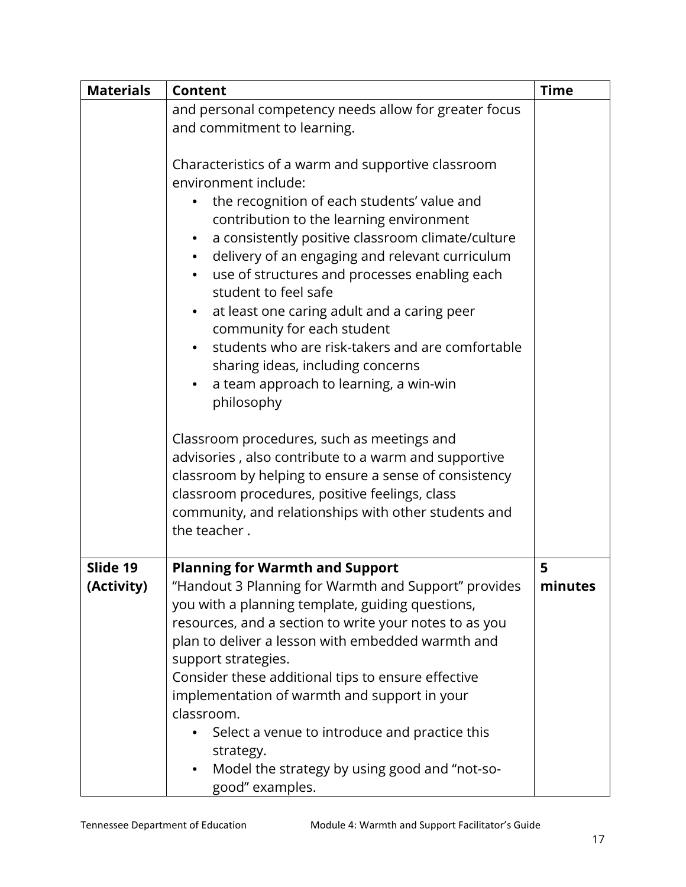| <b>Materials</b>       | <b>Content</b>                                                                                                                                                                                                                                                                                                                                                                                                                                                                                                                                                                                    | <b>Time</b>  |
|------------------------|---------------------------------------------------------------------------------------------------------------------------------------------------------------------------------------------------------------------------------------------------------------------------------------------------------------------------------------------------------------------------------------------------------------------------------------------------------------------------------------------------------------------------------------------------------------------------------------------------|--------------|
|                        | and personal competency needs allow for greater focus<br>and commitment to learning.                                                                                                                                                                                                                                                                                                                                                                                                                                                                                                              |              |
|                        | Characteristics of a warm and supportive classroom<br>environment include:<br>the recognition of each students' value and<br>contribution to the learning environment<br>a consistently positive classroom climate/culture<br>delivery of an engaging and relevant curriculum<br>use of structures and processes enabling each<br>student to feel safe<br>at least one caring adult and a caring peer<br>$\bullet$<br>community for each student<br>students who are risk-takers and are comfortable<br>sharing ideas, including concerns<br>a team approach to learning, a win-win<br>philosophy |              |
|                        | Classroom procedures, such as meetings and<br>advisories, also contribute to a warm and supportive<br>classroom by helping to ensure a sense of consistency<br>classroom procedures, positive feelings, class<br>community, and relationships with other students and<br>the teacher.                                                                                                                                                                                                                                                                                                             |              |
| Slide 19<br>(Activity) | <b>Planning for Warmth and Support</b><br>"Handout 3 Planning for Warmth and Support" provides<br>you with a planning template, guiding questions,<br>resources, and a section to write your notes to as you<br>plan to deliver a lesson with embedded warmth and<br>support strategies.<br>Consider these additional tips to ensure effective<br>implementation of warmth and support in your<br>classroom.<br>Select a venue to introduce and practice this<br>strategy.<br>Model the strategy by using good and "not-so-<br>good" examples.                                                    | 5<br>minutes |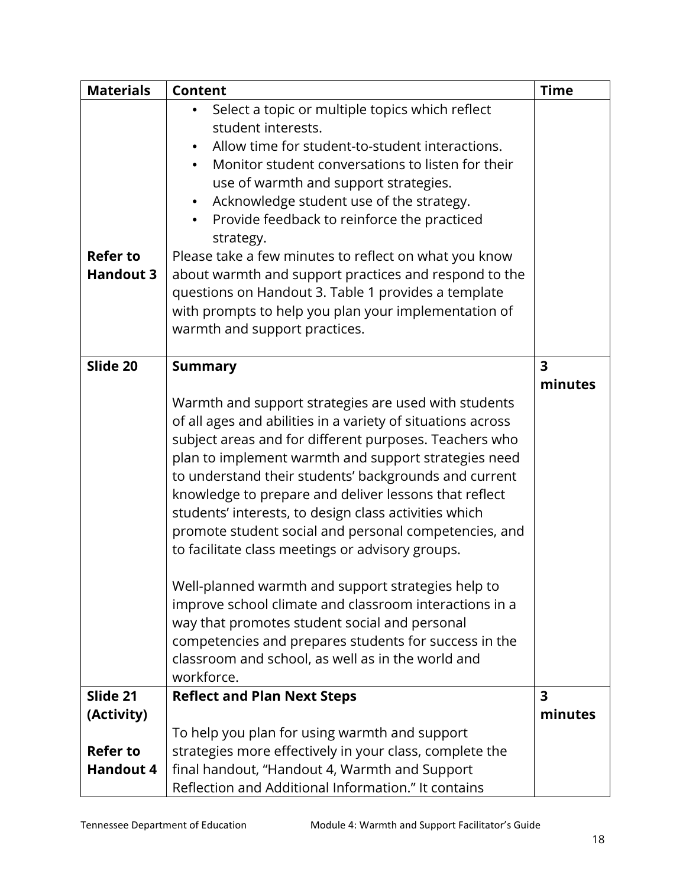| <b>Materials</b>                    | <b>Content</b>                                                                                                                                                                                                                                                                                                                                                                                                                                                                                                                                                                                                                                                                                                                                                                                                             | <b>Time</b>             |
|-------------------------------------|----------------------------------------------------------------------------------------------------------------------------------------------------------------------------------------------------------------------------------------------------------------------------------------------------------------------------------------------------------------------------------------------------------------------------------------------------------------------------------------------------------------------------------------------------------------------------------------------------------------------------------------------------------------------------------------------------------------------------------------------------------------------------------------------------------------------------|-------------------------|
| <b>Refer to</b><br><b>Handout 3</b> | Select a topic or multiple topics which reflect<br>student interests.<br>Allow time for student-to-student interactions.<br>Monitor student conversations to listen for their<br>$\bullet$<br>use of warmth and support strategies.<br>Acknowledge student use of the strategy.<br>$\bullet$<br>Provide feedback to reinforce the practiced<br>$\bullet$<br>strategy.<br>Please take a few minutes to reflect on what you know<br>about warmth and support practices and respond to the<br>questions on Handout 3. Table 1 provides a template<br>with prompts to help you plan your implementation of<br>warmth and support practices.                                                                                                                                                                                    |                         |
| Slide 20                            | <b>Summary</b>                                                                                                                                                                                                                                                                                                                                                                                                                                                                                                                                                                                                                                                                                                                                                                                                             | 3<br>minutes            |
|                                     | Warmth and support strategies are used with students<br>of all ages and abilities in a variety of situations across<br>subject areas and for different purposes. Teachers who<br>plan to implement warmth and support strategies need<br>to understand their students' backgrounds and current<br>knowledge to prepare and deliver lessons that reflect<br>students' interests, to design class activities which<br>promote student social and personal competencies, and<br>to facilitate class meetings or advisory groups.<br>Well-planned warmth and support strategies help to<br>improve school climate and classroom interactions in a<br>way that promotes student social and personal<br>competencies and prepares students for success in the<br>classroom and school, as well as in the world and<br>workforce. |                         |
| Slide 21                            | <b>Reflect and Plan Next Steps</b>                                                                                                                                                                                                                                                                                                                                                                                                                                                                                                                                                                                                                                                                                                                                                                                         | $\overline{\mathbf{3}}$ |
| (Activity)                          |                                                                                                                                                                                                                                                                                                                                                                                                                                                                                                                                                                                                                                                                                                                                                                                                                            | minutes                 |
| <b>Refer to</b>                     | To help you plan for using warmth and support<br>strategies more effectively in your class, complete the                                                                                                                                                                                                                                                                                                                                                                                                                                                                                                                                                                                                                                                                                                                   |                         |
| <b>Handout 4</b>                    | final handout, "Handout 4, Warmth and Support                                                                                                                                                                                                                                                                                                                                                                                                                                                                                                                                                                                                                                                                                                                                                                              |                         |
|                                     | Reflection and Additional Information." It contains                                                                                                                                                                                                                                                                                                                                                                                                                                                                                                                                                                                                                                                                                                                                                                        |                         |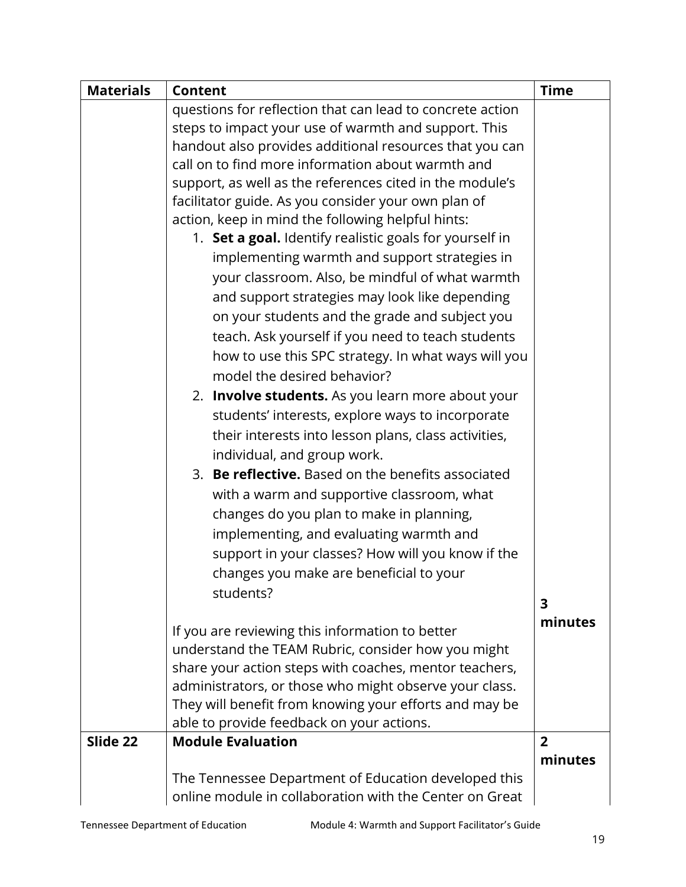| <b>Materials</b> | <b>Content</b>                                            | <b>Time</b>    |
|------------------|-----------------------------------------------------------|----------------|
|                  | questions for reflection that can lead to concrete action |                |
|                  | steps to impact your use of warmth and support. This      |                |
|                  | handout also provides additional resources that you can   |                |
|                  | call on to find more information about warmth and         |                |
|                  | support, as well as the references cited in the module's  |                |
|                  | facilitator guide. As you consider your own plan of       |                |
|                  | action, keep in mind the following helpful hints:         |                |
|                  | 1. Set a goal. Identify realistic goals for yourself in   |                |
|                  | implementing warmth and support strategies in             |                |
|                  | your classroom. Also, be mindful of what warmth           |                |
|                  | and support strategies may look like depending            |                |
|                  | on your students and the grade and subject you            |                |
|                  | teach. Ask yourself if you need to teach students         |                |
|                  | how to use this SPC strategy. In what ways will you       |                |
|                  | model the desired behavior?                               |                |
|                  | 2. Involve students. As you learn more about your         |                |
|                  | students' interests, explore ways to incorporate          |                |
|                  | their interests into lesson plans, class activities,      |                |
|                  | individual, and group work.                               |                |
|                  | 3. Be reflective. Based on the benefits associated        |                |
|                  |                                                           |                |
|                  | with a warm and supportive classroom, what                |                |
|                  | changes do you plan to make in planning,                  |                |
|                  | implementing, and evaluating warmth and                   |                |
|                  | support in your classes? How will you know if the         |                |
|                  | changes you make are beneficial to your                   |                |
|                  | students?                                                 | 3              |
|                  |                                                           | minutes        |
|                  | If you are reviewing this information to better           |                |
|                  | understand the TEAM Rubric, consider how you might        |                |
|                  | share your action steps with coaches, mentor teachers,    |                |
|                  | administrators, or those who might observe your class.    |                |
|                  | They will benefit from knowing your efforts and may be    |                |
|                  | able to provide feedback on your actions.                 |                |
| Slide 22         | <b>Module Evaluation</b>                                  | $\overline{2}$ |
|                  |                                                           | minutes        |
|                  | The Tennessee Department of Education developed this      |                |
|                  | online module in collaboration with the Center on Great   |                |